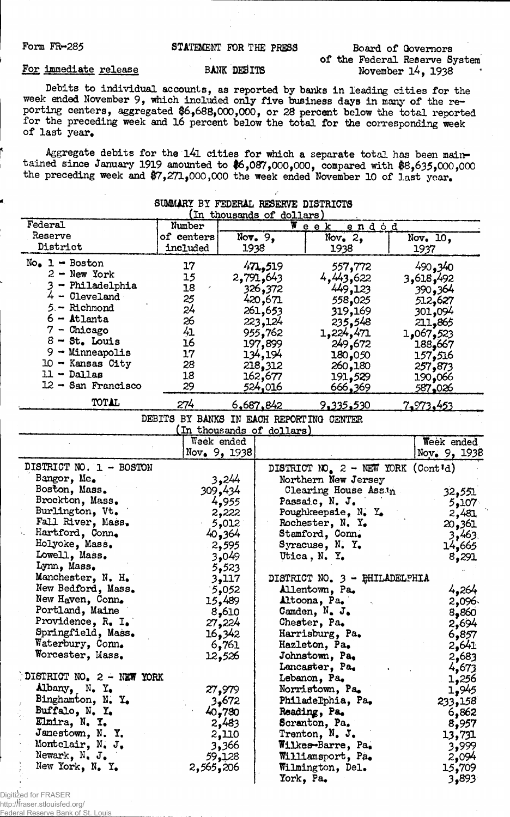Form FR-285 STATEMENT FOR THE PRESS

Board of Governors of the Federal Reserve System November l4, 1938

## For Immediate release

## BANK DEBITS

Debits to individual accounts, as reported by banks in leading cities for the week ended November 9, which included only five business days in many of the reporting centers, aggregated \$6,688,000,000, or 28 percent below the total reported for the preceding week and 16 percent below the total for the corresponding week of last year.

Aggregate debits for the l4l cities for which a separate total has been maintained since January 1919 amounted to \$6,087,000,000, compared with \$8,635,000,000 the preceding week and \$7,271,000,000 the week ended November 10 of last year.

| SUMMARY BY FEDERAL RESERVE DISTRICTS<br>(In thousands of dollars) |                 |                |                          |                                                                      |  |              |  |  |  |
|-------------------------------------------------------------------|-----------------|----------------|--------------------------|----------------------------------------------------------------------|--|--------------|--|--|--|
| Federal                                                           | Number          | Week           |                          |                                                                      |  |              |  |  |  |
| Reserve                                                           | of centers      |                | Nov. $9,$                | endod                                                                |  | Nov. 10.     |  |  |  |
| District                                                          | included        | 1938           |                          | Nov. $2,$<br>1938                                                    |  | 1937         |  |  |  |
| $No_{\bullet}$ 1 - Boston                                         |                 |                |                          |                                                                      |  |              |  |  |  |
| $2 - New York$                                                    | 17              |                | 471,519                  | 557,772                                                              |  | 490,340      |  |  |  |
| 3 - Philadelphia                                                  | 15<br>18        |                | 2,791,643                | 4,443,622                                                            |  | 3,618,492    |  |  |  |
| $4 -$ Cleveland                                                   |                 |                | 326,372                  | 449,123                                                              |  | 390,364      |  |  |  |
| 5 - Richmond                                                      | 25<br>24        |                | 420,671                  | 558,025                                                              |  | 512,627      |  |  |  |
| $6 -$ Atlanta                                                     | 26              |                | 261,653                  | 319,169                                                              |  | 301,094      |  |  |  |
| $7$ - Chicago                                                     | 41              |                | 223,124                  | 235,548                                                              |  | 211,865      |  |  |  |
| $8 - St$ . Louis                                                  | 16              |                | 955,762                  | 1,224,471                                                            |  | 1,067,523    |  |  |  |
| $9 -$ Minneapolis                                                 | 17              |                | 197,899<br>134,194       | 249,672                                                              |  | 188,667      |  |  |  |
| $10 -$ Kansas City                                                | 28              |                | 218,312                  | 180,050                                                              |  | 157,516      |  |  |  |
| $11 - Dallas$                                                     | 18              |                | 162,677                  | 260,180                                                              |  | 257,873      |  |  |  |
| $12 -$ San Francisco                                              | 29              |                | 524,016                  | 191,529<br>666,369                                                   |  | 190,066      |  |  |  |
|                                                                   |                 |                |                          |                                                                      |  | 587,026      |  |  |  |
| TOTAL                                                             | 274             |                | <u>6,687,842</u>         | <u>9,335,530</u>                                                     |  | 7,973,453    |  |  |  |
|                                                                   | DEBITS BY BANKS |                |                          | IN EACH REPORTING CENTER                                             |  |              |  |  |  |
|                                                                   |                 |                | In thousands of dollars) |                                                                      |  |              |  |  |  |
|                                                                   |                 | Week ended     |                          |                                                                      |  | Week ended   |  |  |  |
|                                                                   |                 | Nov. $9, 1938$ |                          |                                                                      |  | Nov. 9, 1938 |  |  |  |
| DISTRICT NO. 1 - BOSTON                                           |                 |                |                          | DISTRICT NO <sub>.</sub> $2 - \text{NEW}$ YORK (Cont <sup>1</sup> d) |  |              |  |  |  |
| Bangor, Me.                                                       |                 | 3,244          |                          | Northern New Jersey                                                  |  |              |  |  |  |
| Boston, Mass.                                                     |                 | 309,434        |                          | Clearing House Assin                                                 |  | 32,551       |  |  |  |
| Brockton, Mass.                                                   |                 | 4,955          |                          | Passaic, N. J.                                                       |  | 5,107        |  |  |  |
| Burlington, Vt.                                                   |                 | 2,222          |                          | Poughkeepsie, $N_t$ . Y.                                             |  | 2,481        |  |  |  |
| Fall River, Mass.                                                 |                 | 5,012          |                          | Rochester, N. Y.                                                     |  | 20,361       |  |  |  |
| Hartford, Conn.                                                   |                 | 40,364         |                          | Stamford, Conn.                                                      |  | 3,463        |  |  |  |
| Holyoke, Mass.                                                    |                 | 2,595          |                          | Syracuse, N. Y.                                                      |  | 14,665       |  |  |  |
| Lowell, Mass.                                                     |                 | 3,049          |                          | Utica, N. Y.                                                         |  | 8,291        |  |  |  |
| Lynn, Mass.                                                       |                 | 5,523          |                          |                                                                      |  |              |  |  |  |
| Manchester, N. H.                                                 |                 | 3,117          |                          | DISTRICT NO. 3 - PHILADELPHIA                                        |  |              |  |  |  |
| New Bedford, Mass.                                                |                 | 5,052          |                          | Allentown, Pa.                                                       |  | 4,264        |  |  |  |
| New Haven, Conn.                                                  |                 | 15,489         |                          | Altoona, Pa.                                                         |  | 2,096.       |  |  |  |
| Portland, Maine                                                   |                 | 8,610          |                          | Camden, N. J.                                                        |  | 8,860        |  |  |  |
| Providence, R. I.                                                 |                 | 27,224         |                          | Chester, Pa.                                                         |  | 2,694        |  |  |  |
| Springfield, Mass.                                                |                 | <b>16,342</b>  |                          | Harrisburg, Pa.                                                      |  | 6,857        |  |  |  |
| Waterbury, Conn.                                                  |                 | 6,761          |                          | Hazleton, Pa.                                                        |  | 2,641        |  |  |  |
| Worcester, Mass.                                                  |                 | 12,526         |                          | Johnstown, Pa,                                                       |  | 2,683        |  |  |  |
|                                                                   |                 |                |                          | Lancaster, Pa.                                                       |  | 4,673        |  |  |  |
| DISTRICT NO. 2 - NEW YORK                                         |                 |                |                          | Lebanon, Pa.                                                         |  | 1,256        |  |  |  |
| Albany, N. Y.                                                     |                 | 27,979         |                          | Norristown, Pa.                                                      |  | 1,945        |  |  |  |
| Binghamton, N. Y.                                                 |                 | 3,672          |                          | Philadelphia, Pa.                                                    |  | 233,158      |  |  |  |
| Buffalo, N. Y.                                                    |                 | 40,780         |                          | Reading, Pa.                                                         |  | 6,862        |  |  |  |
| Elmira, N. Y.                                                     |                 | 2,483          |                          | Scranton, Pa.                                                        |  | 8,957        |  |  |  |
| Janestown, N. Y.                                                  |                 | 2,110          |                          | Trenton, $N_{\bullet}$ J.                                            |  | 13,731       |  |  |  |
| Montclair, N. J.                                                  |                 | 3,366          |                          | Wilkes-Barre, Pa.                                                    |  | 3,999        |  |  |  |
| Newark, N. J.                                                     |                 | 59,128         |                          | Williamsport, Pa.                                                    |  | 2,094        |  |  |  |
| New York, N. Y.                                                   | 2,565,206       |                |                          | Wilmington, Del.                                                     |  | 15,709       |  |  |  |
|                                                                   |                 |                | York, Pa.                |                                                                      |  | 3,893        |  |  |  |

Digitized for FRASER

http://fraser.stlouisfed.org/

Federal Reserve Bank of St. Louis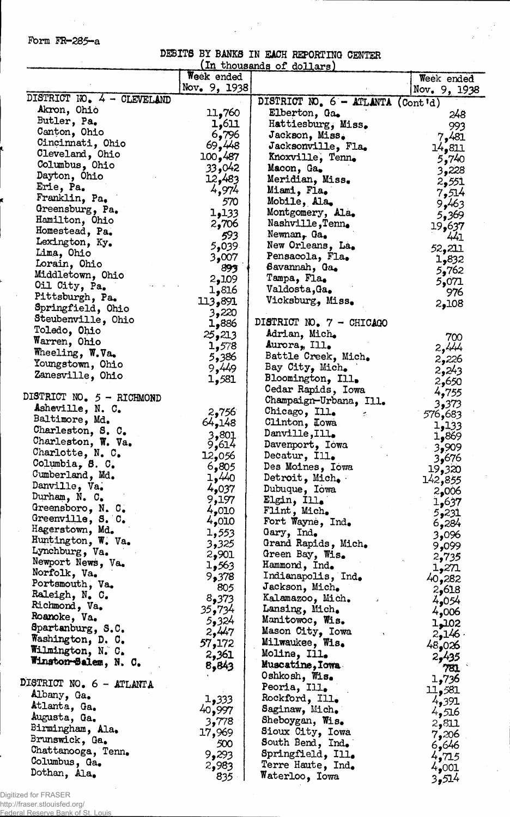Form FR-285-a

 $\hat{\boldsymbol{\gamma}}$ 

DEBITS BY BANKS IN EACH REPORTING CENTER (in thousands of dollars)

|                            | Week ended     |                                   | Week ended      |
|----------------------------|----------------|-----------------------------------|-----------------|
|                            | Nov. 9, 1938   |                                   | Nov. 9, 1938    |
| DISTRICT NO. 4 - CLEVELAND |                | DISTRICT NO. 6 - ATLANTA (Cont'd) |                 |
| Akron, Ohio                | 11,760         | Elberton, Ga.                     | 248             |
| Butler, Pa.                | 1,611          | Hattiesburg, Miss.                | 993             |
| Canton, Ohio               | 6,796          | Jackson, Miss.                    | 7,481           |
| Cincinnati, Ohio           | 69,448         | Jacksonville, Fla.                | 14,811          |
| Cleveland, Ohio            | 100,487        | Knoxville, Tenn.                  | 5,740           |
| Columbus, Ohio             | 93,042         | Macon, Ga.                        | 3,228           |
| Dayton, Ohio               | 12,483         | Meridian, Miss.                   | 2,551           |
| Erie, Pa.                  | 4,974          | Miami, Fla.                       | 7,514           |
| Franklin, Pa.              | 570            | Mobile, Ala.                      | 9,463           |
| Greensburg, Pa.            | 1,133          | Montgomery, Ala.                  | 5,369           |
| Hamilton, Ohio             | 2,706          | Nashville, Tenn.                  | 19,637          |
| Homestead, Pa.             | 593            | Newman, Ga.                       | 441             |
| Lexington, Ky.             | 5,039          | New Orleans, La.                  | 52,211          |
| Lima, Ohio                 | 3,007          | Pensacola, Fla.                   | 1,832           |
| Lorain, Ohio               | 893            | Savannah, Ga.                     | 5,762           |
| Middletown, Ohio           | 2,109          | Tampa, Fla.                       | 5,071           |
| Oil City, Pa.              | 1,816          | Valdosta, Ga.                     | 976             |
| Pittsburgh, Pa.            | 113,891        | Vicksburg, Miss.                  | 2,108           |
| Springfield, Ohio          | 3,220          |                                   |                 |
| Steubenville, Ohio         | 886و1          | DISTRICT NO. 7 - CHICAGO          |                 |
| Toledo, Ohio               | 25,213         | Adrian, Mich.                     | 700             |
| Warren, Ohio               | 1,578          | Aurora, Ill.                      | 2,444           |
| Wheeling, W.Va.            | 5,386          | Battle Creek, Mich.               | 2,226           |
| Youngstown, Ohio           | 9,449          | Bay City, Mich.                   | 2,243           |
| Zanesville, Ohio           | 1,581          | Bloomington, Ill.                 | 2,650           |
| DISTRICT NO. 5 - RICHMOND  |                | Cedar Rapids, Iowa                | 4,755           |
| Asheville, N. C.           |                | Champaign-Urbana, Ill.            | 3,373           |
| Baltimore, Md.             | 2,756          | Chicago, Ill.<br>÷.               | 576,683         |
| Charleston, S. C.          | 64,148         | Clinton, Lowa                     | 1,133           |
| Charleston, W. Va.         | 3,801          | Danville,Ill.                     | 869و1           |
| Charlotte, N. C.           | 9,614          | Davenport, Iowa                   | 3,909           |
| Columbia, 8. C.            | 12,056         | Decatur, Ill.                     | 3,676           |
| Cumberland, Md.            | 6,805          | Des Moines, Iowa                  | 19,320          |
| Danville, Va.              | 1,440          | Detroit, Mich.                    | 142,855         |
| Durham, N. C.              | 4,037          | Dubuque, Iowa                     | 2,006           |
| Greensboro, N. C.          | 9,197          | Elgin, Ill.                       | 1,637           |
| Greenville, S. C.          | 4,010<br>4,010 | Flint, Mich.                      | 5,231           |
| Hagerstown, Md.            | 1,553          | Fort Wayne, Ind.<br>Gary, Ind.    | 6,284           |
| Huntington, W. Va.         | 3,325          | Grand Rapids, Mich.               | 3,096           |
| Lynchburg, Va.             | 2,901          | Green Bay, Wis.                   | 9,099           |
| Newport News, Va.          | 1,563          | Hammond, Ind.                     | 2,735           |
| Norfolk, Va.               | 9,378          | Indianapolis, Ind.                | 1,271           |
| Portsmouth, Va.            | 805            | Jackson, Mich.                    | 40,282<br>2,618 |
| Raleigh, N. C.             | 8,373          | Kalamazoo, Mich.                  | 4,054           |
| Richmond, Va.              | 35,734         | Lansing, Mich.                    | 4,006           |
| Roanoke, Va.               | 5,324          | Manitowoc, Wis.                   | 1,102           |
| Spartanburg, S.C.          | 2,447          | Mason City, Iowa                  | <b>146ء ج</b>   |
| Washington, D. C.          | 57,172         | Milwaukee, Wis.                   | 48,026          |
| Wilmington, N. C.          | 2,361          | Moline, Ill.                      | 2,435           |
| Winston-Balem, N. C.       | 8,843          | Muscatine, Iowa                   | 781             |
|                            |                | Oshkosh, Wis.                     | 1,736           |
| DISTRICT NO. 6 - ATLANTA   |                | Peoria, Ill.                      | 81،و11          |
| Albany, Ga.                | 1,333          | Rockford, Ill.                    | 4,391           |
| Atlanta, Ga.               | 40,997         | Saginaw, Mich.                    | 4,516           |
| Augusta, Ga.               | 3,778          | Sheboygan, Wis.                   | 2,811           |
| Birmingham, Ala.           | 17,969         | Sioux City, Iowa                  | 7,206           |
| Brunswick, Ga.             | 500            | South Bend, Ind.                  | 6,646           |
| Chattanooga, Tenn.         | 9,293          | Springfield, Ill.                 | 4,715           |
| Columbus, Ga.              | 2,983          | Terre Haute, Ind.                 | 4,001           |
| Dothan, Ala.               | 835            | Waterloo, Iowa                    | 3,514           |

Digitized for FRASER http://fraser.stlouisfed.org/

Federal Reserve Bank of St. Louis